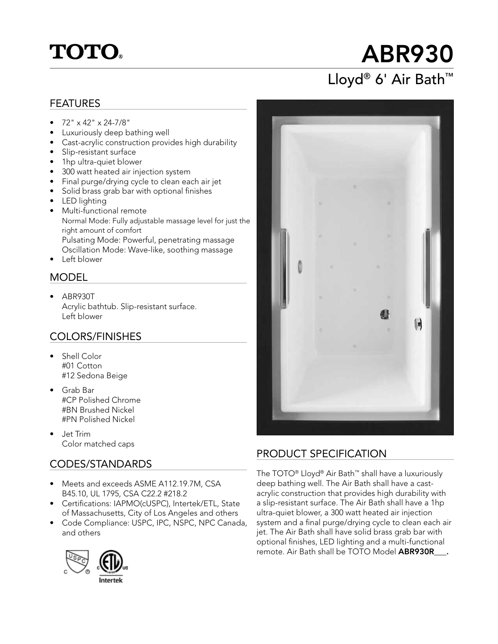## **TOTO**

# ABR930

## Lloyd® 6' Air Bath™

#### FEATURES

- $\bullet$  72" x 42" x 24-7/8"
- Luxuriously deep bathing well
- Cast-acrylic construction provides high durability
- Slip-resistant surface
- 1hp ultra-quiet blower
- 300 watt heated air injection system
- Final purge/drying cycle to clean each air jet
- Solid brass grab bar with optional finishes
- LED lighting
- Multi-functional remote Normal Mode: Fully adjustable massage level for just the right amount of comfort Pulsating Mode: Powerful, penetrating massage Oscillation Mode: Wave-like, soothing massage
- **Left blower**

#### MODEL

• ABR930T Acrylic bathtub. Slip-resistant surface. Left blower

#### COLORS/FINISHES

- Shell Color #01 Cotton #12 Sedona Beige
- Grab Bar #CP Polished Chrome #BN Brushed Nickel #PN Polished Nickel
- Jet Trim Color matched caps

#### CODES/STANDARDS

- Meets and exceeds ASME A112.19.7M, CSA B45.10, UL 1795, CSA C22.2 #218.2
- Certifications: IAPMO(cUSPC), Intertek/ETL, State of Massachusetts, City of Los Angeles and others
- Code Compliance: USPC, IPC, NSPC, NPC Canada, and others





#### PRODUCT SPECIFICATION

The TOTO® Lloyd® Air Bath™ shall have a luxuriously deep bathing well. The Air Bath shall have a castacrylic construction that provides high durability with a slip-resistant surface. The Air Bath shall have a 1hp ultra-quiet blower, a 300 watt heated air injection system and a final purge/drying cycle to clean each air jet. The Air Bath shall have solid brass grab bar with optional finishes, LED lighting and a multi-functional remote. Air Bath shall be TOTO Model ABR930R .